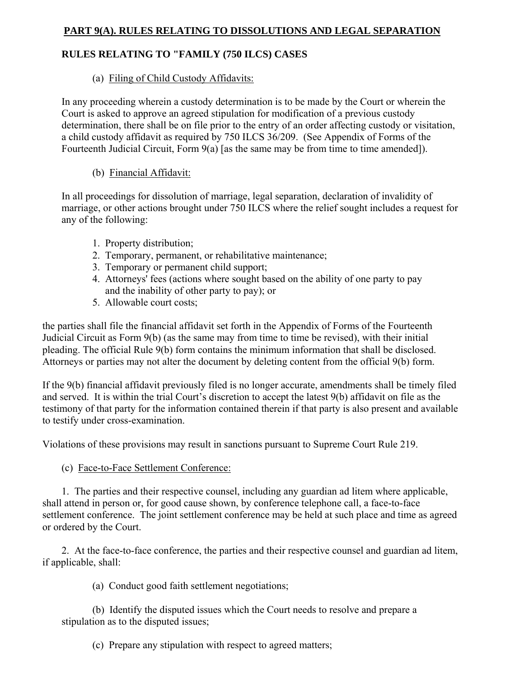# **PART 9(A). RULES RELATING TO DISSOLUTIONS AND LEGAL SEPARATION**

## **RULES RELATING TO "FAMILY (750 ILCS) CASES**

## (a) Filing of Child Custody Affidavits:

In any proceeding wherein a custody determination is to be made by the Court or wherein the Court is asked to approve an agreed stipulation for modification of a previous custody determination, there shall be on file prior to the entry of an order affecting custody or visitation, a child custody affidavit as required by 750 ILCS 36/209. (See Appendix of Forms of the Fourteenth Judicial Circuit, Form 9(a) [as the same may be from time to time amended]).

## (b) Financial Affidavit:

In all proceedings for dissolution of marriage, legal separation, declaration of invalidity of marriage, or other actions brought under 750 ILCS where the relief sought includes a request for any of the following:

- 1. Property distribution;
- 2. Temporary, permanent, or rehabilitative maintenance;
- 3. Temporary or permanent child support;
- 4. Attorneys' fees (actions where sought based on the ability of one party to pay and the inability of other party to pay); or
- 5. Allowable court costs;

the parties shall file the financial affidavit set forth in the Appendix of Forms of the Fourteenth Judicial Circuit as Form 9(b) (as the same may from time to time be revised), with their initial pleading. The official Rule 9(b) form contains the minimum information that shall be disclosed. Attorneys or parties may not alter the document by deleting content from the official 9(b) form.

If the 9(b) financial affidavit previously filed is no longer accurate, amendments shall be timely filed and served. It is within the trial Court's discretion to accept the latest 9(b) affidavit on file as the testimony of that party for the information contained therein if that party is also present and available to testify under cross-examination.

Violations of these provisions may result in sanctions pursuant to Supreme Court Rule 219.

(c) Face-to-Face Settlement Conference:

 1. The parties and their respective counsel, including any guardian ad litem where applicable, shall attend in person or, for good cause shown, by conference telephone call, a face-to-face settlement conference. The joint settlement conference may be held at such place and time as agreed or ordered by the Court.

 2. At the face-to-face conference, the parties and their respective counsel and guardian ad litem, if applicable, shall:

(a) Conduct good faith settlement negotiations;

 (b) Identify the disputed issues which the Court needs to resolve and prepare a stipulation as to the disputed issues;

(c) Prepare any stipulation with respect to agreed matters;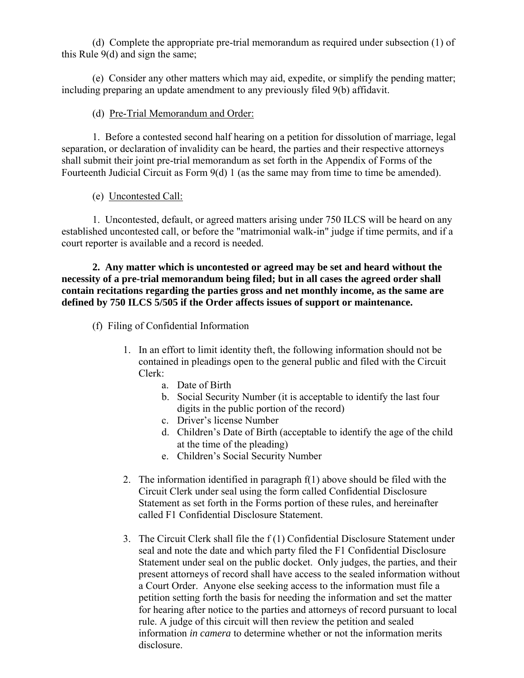(d) Complete the appropriate pre-trial memorandum as required under subsection (1) of this Rule 9(d) and sign the same;

 (e) Consider any other matters which may aid, expedite, or simplify the pending matter; including preparing an update amendment to any previously filed 9(b) affidavit.

## (d) Pre-Trial Memorandum and Order:

 1. Before a contested second half hearing on a petition for dissolution of marriage, legal separation, or declaration of invalidity can be heard, the parties and their respective attorneys shall submit their joint pre-trial memorandum as set forth in the Appendix of Forms of the Fourteenth Judicial Circuit as Form 9(d) 1 (as the same may from time to time be amended).

(e) Uncontested Call:

 1. Uncontested, default, or agreed matters arising under 750 ILCS will be heard on any established uncontested call, or before the "matrimonial walk-in" judge if time permits, and if a court reporter is available and a record is needed.

 **2. Any matter which is uncontested or agreed may be set and heard without the necessity of a pre-trial memorandum being filed; but in all cases the agreed order shall contain recitations regarding the parties gross and net monthly income, as the same are defined by 750 ILCS 5/505 if the Order affects issues of support or maintenance.** 

- (f) Filing of Confidential Information
	- 1. In an effort to limit identity theft, the following information should not be contained in pleadings open to the general public and filed with the Circuit Clerk:
		- a. Date of Birth
		- b. Social Security Number (it is acceptable to identify the last four digits in the public portion of the record)
		- c. Driver's license Number
		- d. Children's Date of Birth (acceptable to identify the age of the child at the time of the pleading)
		- e. Children's Social Security Number
	- 2. The information identified in paragraph  $f(1)$  above should be filed with the Circuit Clerk under seal using the form called Confidential Disclosure Statement as set forth in the Forms portion of these rules, and hereinafter called F1 Confidential Disclosure Statement.
	- 3. The Circuit Clerk shall file the f (1) Confidential Disclosure Statement under seal and note the date and which party filed the F1 Confidential Disclosure Statement under seal on the public docket. Only judges, the parties, and their present attorneys of record shall have access to the sealed information without a Court Order. Anyone else seeking access to the information must file a petition setting forth the basis for needing the information and set the matter for hearing after notice to the parties and attorneys of record pursuant to local rule. A judge of this circuit will then review the petition and sealed information *in camera* to determine whether or not the information merits disclosure.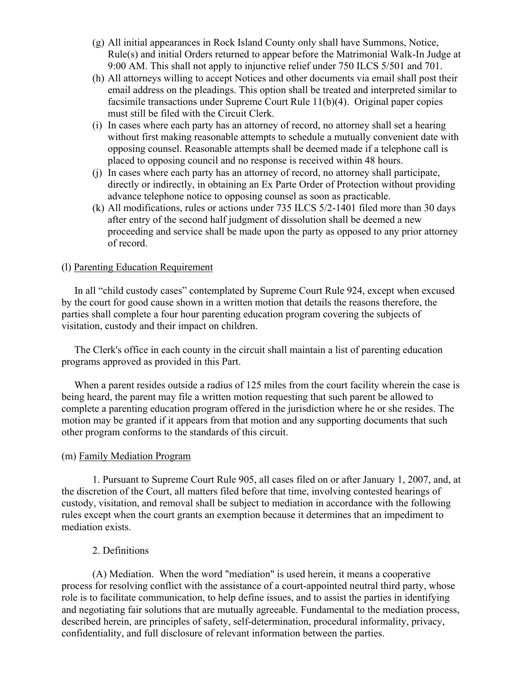- (g) All initial appearances in Rock Island County only shall have Summons, Notice, Rule(s) and initial Orders returned to appear before the Matrimonial Walk-In Judge at 9:00 AM. This shall not apply to injunctive relief under 750 ILCS 5/501 and 701.
- (h) All attorneys willing to accept Notices and other documents via email shall post their email address on the pleadings. This option shall be treated and interpreted similar to facsimile transactions under Supreme Court Rule 11(b)(4). Original paper copies must still be filed with the Circuit Clerk.
- (i) In cases where each party has an attorney of record, no attorney shall set a hearing without first making reasonable attempts to schedule a mutually convenient date with opposing counsel. Reasonable attempts shall be deemed made if a telephone call is placed to opposing council and no response is received within 48 hours.
- (j) In cases where each party has an attorney of record, no attorney shall participate, directly or indirectly, in obtaining an Ex Parte Order of Protection without providing advance telephone notice to opposing counsel as soon as practicable.
- (k) All modifications, rules or actions under 735 ILCS 5/2-1401 filed more than 30 days after entry of the second half judgment of dissolution shall be deemed a new proceeding and service shall be made upon the party as opposed to any prior attorney of record.

### (l) Parenting Education Requirement

In all "child custody cases" contemplated by Supreme Court Rule 924, except when excused by the court for good cause shown in a written motion that details the reasons therefore, the parties shall complete a four hour parenting education program covering the subjects of visitation, custody and their impact on children.

 The Clerk's office in each county in the circuit shall maintain a list of parenting education programs approved as provided in this Part.

When a parent resides outside a radius of 125 miles from the court facility wherein the case is being heard, the parent may file a written motion requesting that such parent be allowed to complete a parenting education program offered in the jurisdiction where he or she resides. The motion may be granted if it appears from that motion and any supporting documents that such other program conforms to the standards of this circuit.

#### (m) Family Mediation Program

 1. Pursuant to Supreme Court Rule 905, all cases filed on or after January 1, 2007, and, at the discretion of the Court, all matters filed before that time, involving contested hearings of custody, visitation, and removal shall be subject to mediation in accordance with the following rules except when the court grants an exemption because it determines that an impediment to mediation exists.

#### 2. Definitions

 (A) Mediation. When the word "mediation" is used herein, it means a cooperative process for resolving conflict with the assistance of a court-appointed neutral third party, whose role is to facilitate communication, to help define issues, and to assist the parties in identifying and negotiating fair solutions that are mutually agreeable. Fundamental to the mediation process, described herein, are principles of safety, self-determination, procedural informality, privacy, confidentiality, and full disclosure of relevant information between the parties.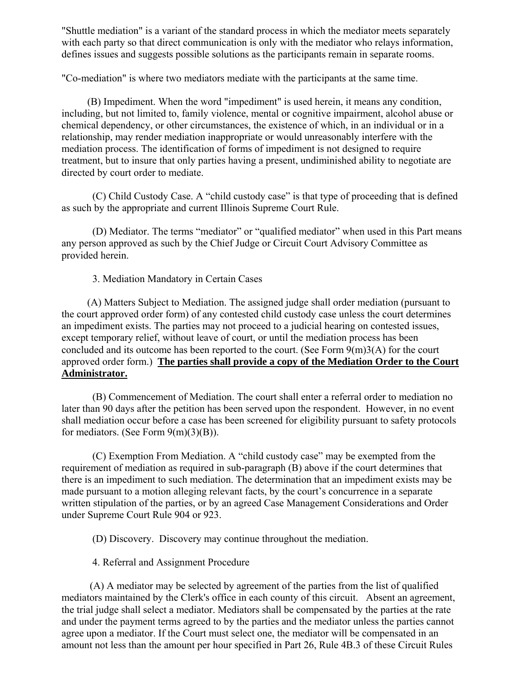"Shuttle mediation" is a variant of the standard process in which the mediator meets separately with each party so that direct communication is only with the mediator who relays information, defines issues and suggests possible solutions as the participants remain in separate rooms.

"Co-mediation" is where two mediators mediate with the participants at the same time.

 (B) Impediment. When the word "impediment" is used herein, it means any condition, including, but not limited to, family violence, mental or cognitive impairment, alcohol abuse or chemical dependency, or other circumstances, the existence of which, in an individual or in a relationship, may render mediation inappropriate or would unreasonably interfere with the mediation process. The identification of forms of impediment is not designed to require treatment, but to insure that only parties having a present, undiminished ability to negotiate are directed by court order to mediate.

 (C) Child Custody Case. A "child custody case" is that type of proceeding that is defined as such by the appropriate and current Illinois Supreme Court Rule.

 (D) Mediator. The terms "mediator" or "qualified mediator" when used in this Part means any person approved as such by the Chief Judge or Circuit Court Advisory Committee as provided herein.

3. Mediation Mandatory in Certain Cases

 (A) Matters Subject to Mediation. The assigned judge shall order mediation (pursuant to the court approved order form) of any contested child custody case unless the court determines an impediment exists. The parties may not proceed to a judicial hearing on contested issues, except temporary relief, without leave of court, or until the mediation process has been concluded and its outcome has been reported to the court. (See Form  $9(m)3(A)$  for the court approved order form.) **The parties shall provide a copy of the Mediation Order to the Court Administrator.**

 (B) Commencement of Mediation. The court shall enter a referral order to mediation no later than 90 days after the petition has been served upon the respondent. However, in no event shall mediation occur before a case has been screened for eligibility pursuant to safety protocols for mediators. (See Form  $9(m)(3)(B)$ ).

 (C) Exemption From Mediation. A "child custody case" may be exempted from the requirement of mediation as required in sub-paragraph (B) above if the court determines that there is an impediment to such mediation. The determination that an impediment exists may be made pursuant to a motion alleging relevant facts, by the court's concurrence in a separate written stipulation of the parties, or by an agreed Case Management Considerations and Order under Supreme Court Rule 904 or 923.

(D) Discovery. Discovery may continue throughout the mediation.

4. Referral and Assignment Procedure

 (A) A mediator may be selected by agreement of the parties from the list of qualified mediators maintained by the Clerk's office in each county of this circuit. Absent an agreement, the trial judge shall select a mediator. Mediators shall be compensated by the parties at the rate and under the payment terms agreed to by the parties and the mediator unless the parties cannot agree upon a mediator. If the Court must select one, the mediator will be compensated in an amount not less than the amount per hour specified in Part 26, Rule 4B.3 of these Circuit Rules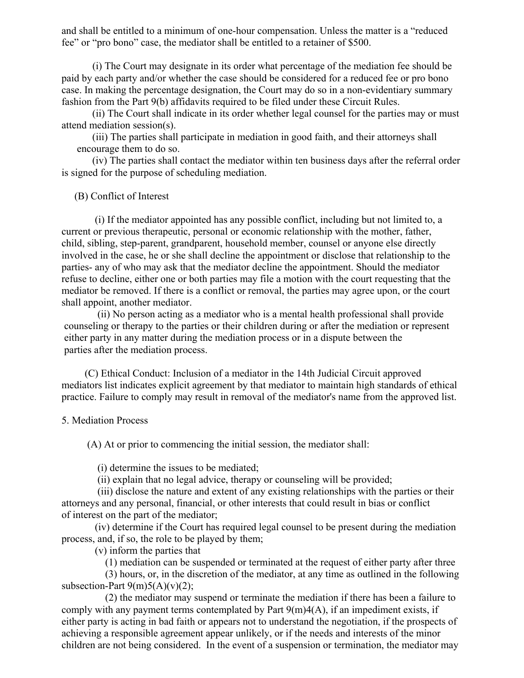and shall be entitled to a minimum of one-hour compensation. Unless the matter is a "reduced fee" or "pro bono" case, the mediator shall be entitled to a retainer of \$500.

 (i) The Court may designate in its order what percentage of the mediation fee should be paid by each party and/or whether the case should be considered for a reduced fee or pro bono case. In making the percentage designation, the Court may do so in a non-evidentiary summary fashion from the Part 9(b) affidavits required to be filed under these Circuit Rules.

 (ii) The Court shall indicate in its order whether legal counsel for the parties may or must attend mediation session(s).

 (iii) The parties shall participate in mediation in good faith, and their attorneys shall encourage them to do so.

 (iv) The parties shall contact the mediator within ten business days after the referral order is signed for the purpose of scheduling mediation.

(B) Conflict of Interest

 (i) If the mediator appointed has any possible conflict, including but not limited to, a current or previous therapeutic, personal or economic relationship with the mother, father, child, sibling, step-parent, grandparent, household member, counsel or anyone else directly involved in the case, he or she shall decline the appointment or disclose that relationship to the parties- any of who may ask that the mediator decline the appointment. Should the mediator refuse to decline, either one or both parties may file a motion with the court requesting that the mediator be removed. If there is a conflict or removal, the parties may agree upon, or the court shall appoint, another mediator.

 (ii) No person acting as a mediator who is a mental health professional shall provide counseling or therapy to the parties or their children during or after the mediation or represent either party in any matter during the mediation process or in a dispute between the parties after the mediation process.

 (C) Ethical Conduct: Inclusion of a mediator in the 14th Judicial Circuit approved mediators list indicates explicit agreement by that mediator to maintain high standards of ethical practice. Failure to comply may result in removal of the mediator's name from the approved list.

#### 5. Mediation Process

(A) At or prior to commencing the initial session, the mediator shall:

(i) determine the issues to be mediated;

(ii) explain that no legal advice, therapy or counseling will be provided;

 (iii) disclose the nature and extent of any existing relationships with the parties or their attorneys and any personal, financial, or other interests that could result in bias or conflict of interest on the part of the mediator;

 (iv) determine if the Court has required legal counsel to be present during the mediation process, and, if so, the role to be played by them;

(v) inform the parties that

(1) mediation can be suspended or terminated at the request of either party after three

 (3) hours, or, in the discretion of the mediator, at any time as outlined in the following subsection-Part  $9(m)5(A)(v)(2)$ ;

 (2) the mediator may suspend or terminate the mediation if there has been a failure to comply with any payment terms contemplated by Part  $9(m)4(A)$ , if an impediment exists, if either party is acting in bad faith or appears not to understand the negotiation, if the prospects of achieving a responsible agreement appear unlikely, or if the needs and interests of the minor children are not being considered. In the event of a suspension or termination, the mediator may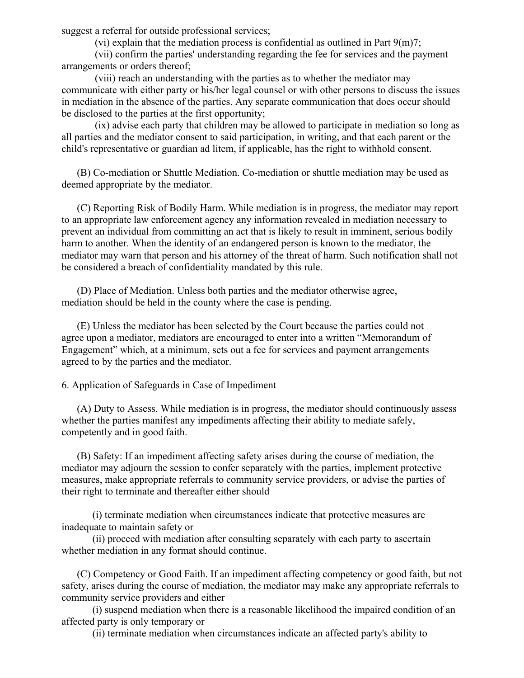suggest a referral for outside professional services;

(vi) explain that the mediation process is confidential as outlined in Part  $9(m)7$ ;

 (vii) confirm the parties' understanding regarding the fee for services and the payment arrangements or orders thereof;

 (viii) reach an understanding with the parties as to whether the mediator may communicate with either party or his/her legal counsel or with other persons to discuss the issues in mediation in the absence of the parties. Any separate communication that does occur should be disclosed to the parties at the first opportunity;

 (ix) advise each party that children may be allowed to participate in mediation so long as all parties and the mediator consent to said participation, in writing, and that each parent or the child's representative or guardian ad litem, if applicable, has the right to withhold consent.

 (B) Co-mediation or Shuttle Mediation. Co-mediation or shuttle mediation may be used as deemed appropriate by the mediator.

 (C) Reporting Risk of Bodily Harm. While mediation is in progress, the mediator may report to an appropriate law enforcement agency any information revealed in mediation necessary to prevent an individual from committing an act that is likely to result in imminent, serious bodily harm to another. When the identity of an endangered person is known to the mediator, the mediator may warn that person and his attorney of the threat of harm. Such notification shall not be considered a breach of confidentiality mandated by this rule.

 (D) Place of Mediation. Unless both parties and the mediator otherwise agree, mediation should be held in the county where the case is pending.

 (E) Unless the mediator has been selected by the Court because the parties could not agree upon a mediator, mediators are encouraged to enter into a written "Memorandum of Engagement" which, at a minimum, sets out a fee for services and payment arrangements agreed to by the parties and the mediator.

6. Application of Safeguards in Case of Impediment

 (A) Duty to Assess. While mediation is in progress, the mediator should continuously assess whether the parties manifest any impediments affecting their ability to mediate safely, competently and in good faith.

 (B) Safety: If an impediment affecting safety arises during the course of mediation, the mediator may adjourn the session to confer separately with the parties, implement protective measures, make appropriate referrals to community service providers, or advise the parties of their right to terminate and thereafter either should

 (i) terminate mediation when circumstances indicate that protective measures are inadequate to maintain safety or

 (ii) proceed with mediation after consulting separately with each party to ascertain whether mediation in any format should continue.

 (C) Competency or Good Faith. If an impediment affecting competency or good faith, but not safety, arises during the course of mediation, the mediator may make any appropriate referrals to community service providers and either

 (i) suspend mediation when there is a reasonable likelihood the impaired condition of an affected party is only temporary or

(ii) terminate mediation when circumstances indicate an affected party's ability to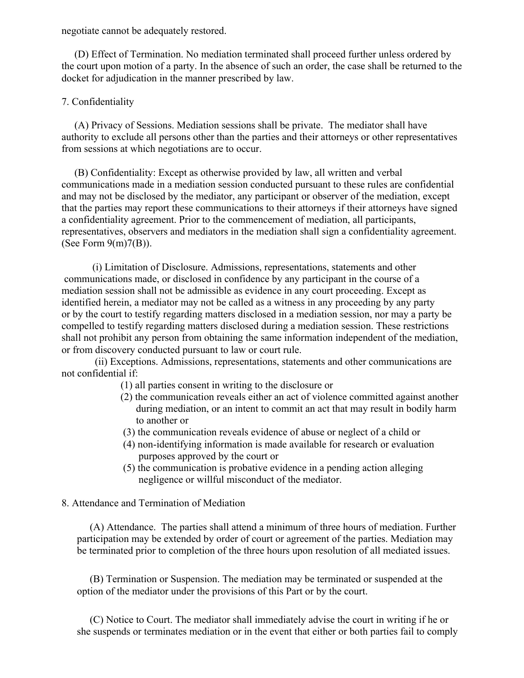negotiate cannot be adequately restored.

 (D) Effect of Termination. No mediation terminated shall proceed further unless ordered by the court upon motion of a party. In the absence of such an order, the case shall be returned to the docket for adjudication in the manner prescribed by law.

## 7. Confidentiality

 (A) Privacy of Sessions. Mediation sessions shall be private. The mediator shall have authority to exclude all persons other than the parties and their attorneys or other representatives from sessions at which negotiations are to occur.

 (B) Confidentiality: Except as otherwise provided by law, all written and verbal communications made in a mediation session conducted pursuant to these rules are confidential and may not be disclosed by the mediator, any participant or observer of the mediation, except that the parties may report these communications to their attorneys if their attorneys have signed a confidentiality agreement. Prior to the commencement of mediation, all participants, representatives, observers and mediators in the mediation shall sign a confidentiality agreement. (See Form  $9(m)7(B)$ ).

 (i) Limitation of Disclosure. Admissions, representations, statements and other communications made, or disclosed in confidence by any participant in the course of a mediation session shall not be admissible as evidence in any court proceeding. Except as identified herein, a mediator may not be called as a witness in any proceeding by any party or by the court to testify regarding matters disclosed in a mediation session, nor may a party be compelled to testify regarding matters disclosed during a mediation session. These restrictions shall not prohibit any person from obtaining the same information independent of the mediation, or from discovery conducted pursuant to law or court rule.

 (ii) Exceptions. Admissions, representations, statements and other communications are not confidential if:

- (1) all parties consent in writing to the disclosure or
- (2) the communication reveals either an act of violence committed against another during mediation, or an intent to commit an act that may result in bodily harm to another or
- (3) the communication reveals evidence of abuse or neglect of a child or
- (4) non-identifying information is made available for research or evaluation purposes approved by the court or
- (5) the communication is probative evidence in a pending action alleging negligence or willful misconduct of the mediator.
- 8. Attendance and Termination of Mediation

 (A) Attendance. The parties shall attend a minimum of three hours of mediation. Further participation may be extended by order of court or agreement of the parties. Mediation may be terminated prior to completion of the three hours upon resolution of all mediated issues.

 (B) Termination or Suspension. The mediation may be terminated or suspended at the option of the mediator under the provisions of this Part or by the court.

 (C) Notice to Court. The mediator shall immediately advise the court in writing if he or she suspends or terminates mediation or in the event that either or both parties fail to comply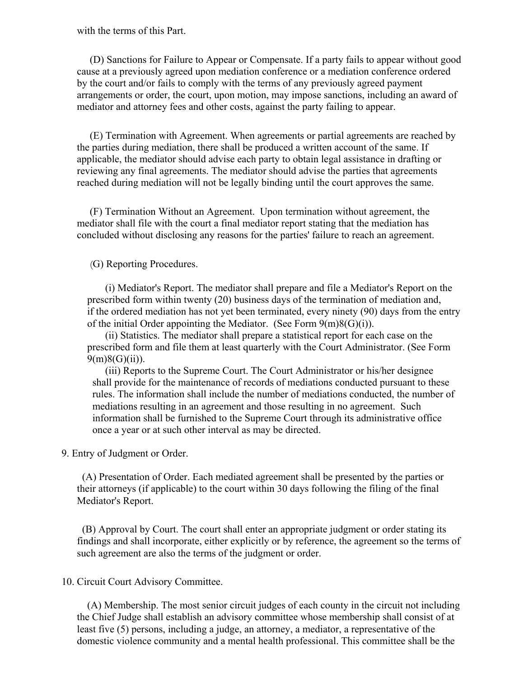#### with the terms of this Part.

 (D) Sanctions for Failure to Appear or Compensate. If a party fails to appear without good cause at a previously agreed upon mediation conference or a mediation conference ordered by the court and/or fails to comply with the terms of any previously agreed payment arrangements or order, the court, upon motion, may impose sanctions, including an award of mediator and attorney fees and other costs, against the party failing to appear.

 (E) Termination with Agreement. When agreements or partial agreements are reached by the parties during mediation, there shall be produced a written account of the same. If applicable, the mediator should advise each party to obtain legal assistance in drafting or reviewing any final agreements. The mediator should advise the parties that agreements reached during mediation will not be legally binding until the court approves the same.

 (F) Termination Without an Agreement. Upon termination without agreement, the mediator shall file with the court a final mediator report stating that the mediation has concluded without disclosing any reasons for the parties' failure to reach an agreement.

(G) Reporting Procedures.

 (i) Mediator's Report. The mediator shall prepare and file a Mediator's Report on the prescribed form within twenty (20) business days of the termination of mediation and, if the ordered mediation has not yet been terminated, every ninety (90) days from the entry of the initial Order appointing the Mediator. (See Form  $9(m)8(G)(i)$ ).

 (ii) Statistics. The mediator shall prepare a statistical report for each case on the prescribed form and file them at least quarterly with the Court Administrator. (See Form  $9(m)8(G)(ii)$ ).

 (iii) Reports to the Supreme Court. The Court Administrator or his/her designee shall provide for the maintenance of records of mediations conducted pursuant to these rules. The information shall include the number of mediations conducted, the number of mediations resulting in an agreement and those resulting in no agreement. Such information shall be furnished to the Supreme Court through its administrative office once a year or at such other interval as may be directed.

9. Entry of Judgment or Order.

 (A) Presentation of Order. Each mediated agreement shall be presented by the parties or their attorneys (if applicable) to the court within 30 days following the filing of the final Mediator's Report.

 (B) Approval by Court. The court shall enter an appropriate judgment or order stating its findings and shall incorporate, either explicitly or by reference, the agreement so the terms of such agreement are also the terms of the judgment or order.

#### 10. Circuit Court Advisory Committee.

 (A) Membership. The most senior circuit judges of each county in the circuit not including the Chief Judge shall establish an advisory committee whose membership shall consist of at least five (5) persons, including a judge, an attorney, a mediator, a representative of the domestic violence community and a mental health professional. This committee shall be the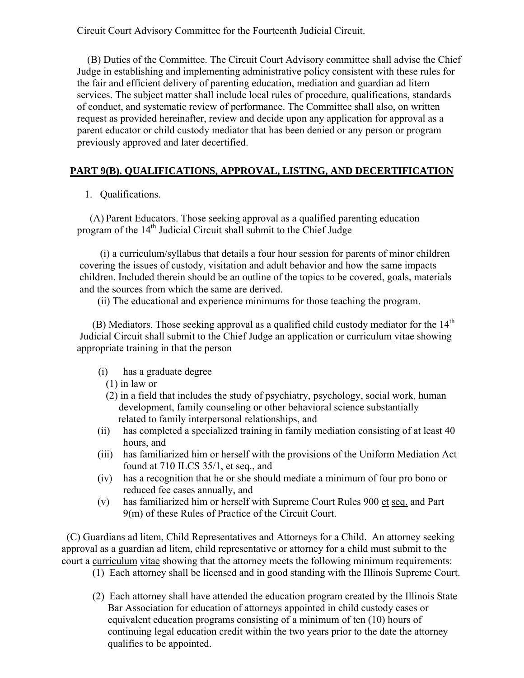Circuit Court Advisory Committee for the Fourteenth Judicial Circuit.

 (B) Duties of the Committee. The Circuit Court Advisory committee shall advise the Chief Judge in establishing and implementing administrative policy consistent with these rules for the fair and efficient delivery of parenting education, mediation and guardian ad litem services. The subject matter shall include local rules of procedure, qualifications, standards of conduct, and systematic review of performance. The Committee shall also, on written request as provided hereinafter, review and decide upon any application for approval as a parent educator or child custody mediator that has been denied or any person or program previously approved and later decertified.

## **PART 9(B). QUALIFICATIONS, APPROVAL, LISTING, AND DECERTIFICATION**

1. Qualifications.

(A) Parent Educators. Those seeking approval as a qualified parenting education program of the  $14<sup>th</sup>$  Judicial Circuit shall submit to the Chief Judge

 (i) a curriculum/syllabus that details a four hour session for parents of minor children covering the issues of custody, visitation and adult behavior and how the same impacts children. Included therein should be an outline of the topics to be covered, goals, materials and the sources from which the same are derived.

(ii) The educational and experience minimums for those teaching the program.

(B) Mediators. Those seeking approval as a qualified child custody mediator for the  $14<sup>th</sup>$  Judicial Circuit shall submit to the Chief Judge an application or curriculum vitae showing appropriate training in that the person

- (i) has a graduate degree
	- (1) in law or
	- (2) in a field that includes the study of psychiatry, psychology, social work, human development, family counseling or other behavioral science substantially related to family interpersonal relationships, and
- (ii) has completed a specialized training in family mediation consisting of at least 40 hours, and
- (iii) has familiarized him or herself with the provisions of the Uniform Mediation Act found at 710 ILCS 35/1, et seq., and
- (iv) has a recognition that he or she should mediate a minimum of four pro bono or reduced fee cases annually, and
- (v) has familiarized him or herself with Supreme Court Rules 900 et seq. and Part 9(m) of these Rules of Practice of the Circuit Court.

 (C) Guardians ad litem, Child Representatives and Attorneys for a Child. An attorney seeking approval as a guardian ad litem, child representative or attorney for a child must submit to the court a curriculum vitae showing that the attorney meets the following minimum requirements:

- (1) Each attorney shall be licensed and in good standing with the Illinois Supreme Court.
- (2) Each attorney shall have attended the education program created by the Illinois State Bar Association for education of attorneys appointed in child custody cases or equivalent education programs consisting of a minimum of ten (10) hours of continuing legal education credit within the two years prior to the date the attorney qualifies to be appointed.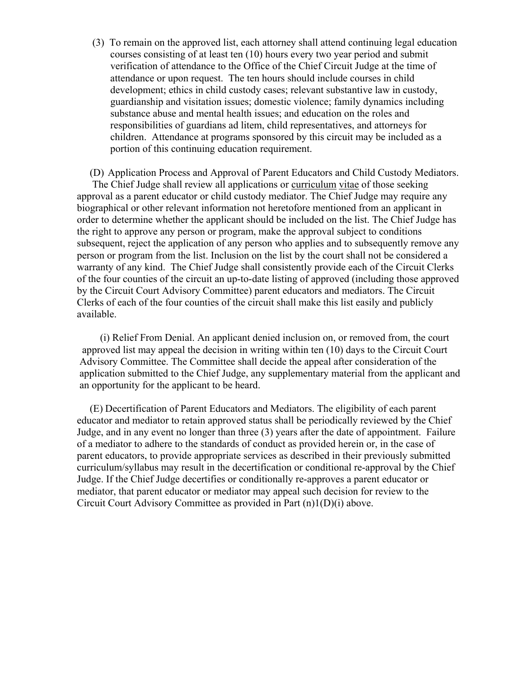(3) To remain on the approved list, each attorney shall attend continuing legal education courses consisting of at least ten (10) hours every two year period and submit verification of attendance to the Office of the Chief Circuit Judge at the time of attendance or upon request. The ten hours should include courses in child development; ethics in child custody cases; relevant substantive law in custody, guardianship and visitation issues; domestic violence; family dynamics including substance abuse and mental health issues; and education on the roles and responsibilities of guardians ad litem, child representatives, and attorneys for children. Attendance at programs sponsored by this circuit may be included as a portion of this continuing education requirement.

(D) Application Process and Approval of Parent Educators and Child Custody Mediators. The Chief Judge shall review all applications or curriculum vitae of those seeking approval as a parent educator or child custody mediator. The Chief Judge may require any biographical or other relevant information not heretofore mentioned from an applicant in order to determine whether the applicant should be included on the list. The Chief Judge has the right to approve any person or program, make the approval subject to conditions subsequent, reject the application of any person who applies and to subsequently remove any person or program from the list. Inclusion on the list by the court shall not be considered a warranty of any kind. The Chief Judge shall consistently provide each of the Circuit Clerks of the four counties of the circuit an up-to-date listing of approved (including those approved by the Circuit Court Advisory Committee) parent educators and mediators. The Circuit Clerks of each of the four counties of the circuit shall make this list easily and publicly available.

 (i) Relief From Denial. An applicant denied inclusion on, or removed from, the court approved list may appeal the decision in writing within ten (10) days to the Circuit Court Advisory Committee. The Committee shall decide the appeal after consideration of the application submitted to the Chief Judge, any supplementary material from the applicant and an opportunity for the applicant to be heard.

(E) Decertification of Parent Educators and Mediators. The eligibility of each parent educator and mediator to retain approved status shall be periodically reviewed by the Chief Judge, and in any event no longer than three (3) years after the date of appointment. Failure of a mediator to adhere to the standards of conduct as provided herein or, in the case of parent educators, to provide appropriate services as described in their previously submitted curriculum/syllabus may result in the decertification or conditional re-approval by the Chief Judge. If the Chief Judge decertifies or conditionally re-approves a parent educator or mediator, that parent educator or mediator may appeal such decision for review to the Circuit Court Advisory Committee as provided in Part (n)1(D)(i) above.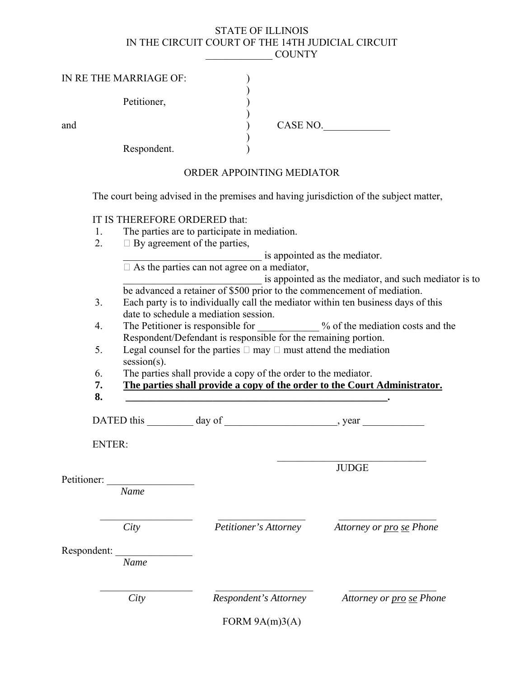#### STATE OF ILLINOIS IN THE CIRCUIT COURT OF THE 14TH JUDICIAL CIRCUIT \_\_\_\_\_\_\_\_\_\_\_\_\_ COUNTY

| IN RE THE MARRIAGE OF: |             |          |
|------------------------|-------------|----------|
|                        | Petitioner, |          |
| and                    |             | CASE NO. |
|                        | Respondent. |          |

ORDER APPOINTING MEDIATOR

The court being advised in the premises and having jurisdiction of the subject matter,

### IT IS THEREFORE ORDERED that:

- 1. The parties are to participate in mediation.
- 2.  $\Box$  By agreement of the parties,

is appointed as the mediator.

□ As the parties can not agree on a mediator,

is appointed as the mediator, and such mediator is to be advanced a retainer of \$500 prior to the commencement of mediation.

- 3. Each party is to individually call the mediator within ten business days of this date to schedule a mediation session.
- 4. The Petitioner is responsible for  $\frac{9}{6}$  of the mediation costs and the Respondent/Defendant is responsible for the remaining portion.
	- 5. Legal counsel for the parties  $\Box$  may  $\Box$  must attend the mediation session(s).
	- 6. The parties shall provide a copy of the order to the mediator.
	- **7. The parties shall provide a copy of the order to the Court Administrator.**
- **8. \_\_\_\_\_\_\_\_\_\_\_\_\_\_\_\_\_\_\_\_\_\_\_\_\_\_\_\_\_\_\_\_\_\_\_\_\_\_\_\_\_\_\_\_\_\_\_\_\_\_\_.**

DATED this day of government and positive day of the set of  $\sim$ 

ENTER:

 $\mathcal{L}_\mathcal{L} = \{ \mathcal{L}_\mathcal{L} \mid \mathcal{L}_\mathcal{L} \in \mathcal{L}_\mathcal{L} \}$ JUDGE

Petitioner:

 *Name* 

\_\_\_\_\_\_\_\_\_\_\_\_\_\_\_\_\_\_ \_\_\_\_\_\_\_\_\_\_\_\_\_\_\_\_\_ \_\_\_\_\_\_\_\_\_\_\_\_\_\_\_\_\_\_\_ *City Petitioner's Attorney Attorney or pro se Phone* 

Respondent:

 *Name* 

 $\mathcal{L}_\text{max}$  and  $\mathcal{L}_\text{max}$  and  $\mathcal{L}_\text{max}$  and  $\mathcal{L}_\text{max}$  and  $\mathcal{L}_\text{max}$  and  $\mathcal{L}_\text{max}$ 

*City Respondent's Attorney Attorney or pro se Phone*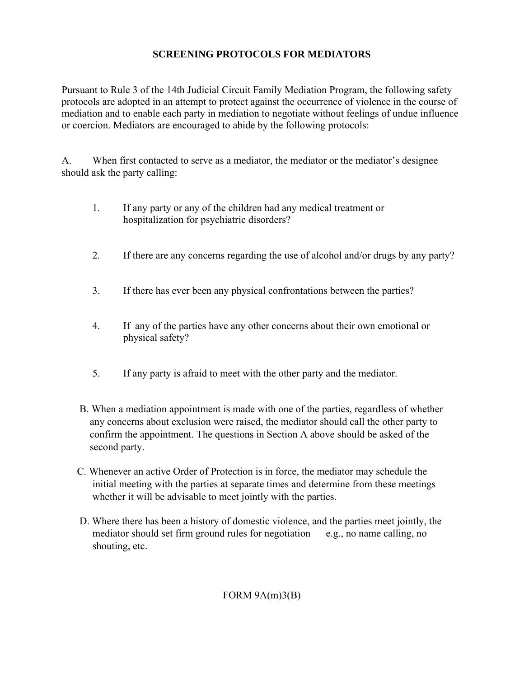# **SCREENING PROTOCOLS FOR MEDIATORS**

Pursuant to Rule 3 of the 14th Judicial Circuit Family Mediation Program, the following safety protocols are adopted in an attempt to protect against the occurrence of violence in the course of mediation and to enable each party in mediation to negotiate without feelings of undue influence or coercion. Mediators are encouraged to abide by the following protocols:

A. When first contacted to serve as a mediator, the mediator or the mediator's designee should ask the party calling:

- 1. If any party or any of the children had any medical treatment or hospitalization for psychiatric disorders?
- 2. If there are any concerns regarding the use of alcohol and/or drugs by any party?
- 3. If there has ever been any physical confrontations between the parties?
- 4. If any of the parties have any other concerns about their own emotional or physical safety?
- 5. If any party is afraid to meet with the other party and the mediator.
- B. When a mediation appointment is made with one of the parties, regardless of whether any concerns about exclusion were raised, the mediator should call the other party to confirm the appointment. The questions in Section A above should be asked of the second party.
- C. Whenever an active Order of Protection is in force, the mediator may schedule the initial meeting with the parties at separate times and determine from these meetings whether it will be advisable to meet jointly with the parties.
- D. Where there has been a history of domestic violence, and the parties meet jointly, the mediator should set firm ground rules for negotiation — e.g., no name calling, no shouting, etc.

FORM  $9A(m)3(B)$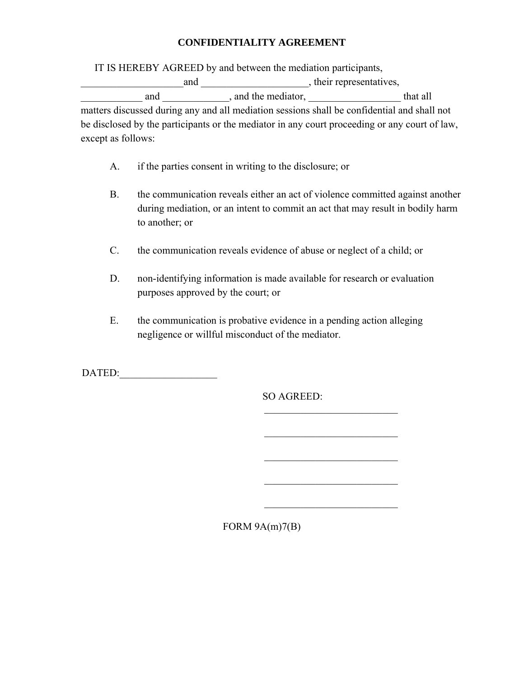### **CONFIDENTIALITY AGREEMENT**

IT IS HEREBY AGREED by and between the mediation participants,

and \_\_\_\_\_\_\_\_\_\_\_\_\_\_\_\_\_\_\_\_\_\_\_, their representatives, and and and the mediator,  $\Box$  and the mediator,  $\Box$ matters discussed during any and all mediation sessions shall be confidential and shall not be disclosed by the participants or the mediator in any court proceeding or any court of law, except as follows:

A. if the parties consent in writing to the disclosure; or

 $\mathcal{L}_\text{max}$  and  $\mathcal{L}_\text{max}$  and  $\mathcal{L}_\text{max}$  and  $\mathcal{L}_\text{max}$  and  $\mathcal{L}_\text{max}$  and  $\mathcal{L}_\text{max}$ 

 $\mathcal{L}_\text{max}$  and  $\mathcal{L}_\text{max}$  and  $\mathcal{L}_\text{max}$  and  $\mathcal{L}_\text{max}$  and  $\mathcal{L}_\text{max}$  and  $\mathcal{L}_\text{max}$ 

 $\mathcal{L}_\text{max}$  and  $\mathcal{L}_\text{max}$  and  $\mathcal{L}_\text{max}$  and  $\mathcal{L}_\text{max}$  and  $\mathcal{L}_\text{max}$  and  $\mathcal{L}_\text{max}$ 

 $\mathcal{L}_\text{max}$  and  $\mathcal{L}_\text{max}$  and  $\mathcal{L}_\text{max}$  and  $\mathcal{L}_\text{max}$  and  $\mathcal{L}_\text{max}$  and  $\mathcal{L}_\text{max}$ 

 $\mathcal{L}_\text{max}$  and  $\mathcal{L}_\text{max}$  and  $\mathcal{L}_\text{max}$  and  $\mathcal{L}_\text{max}$ 

- B. the communication reveals either an act of violence committed against another during mediation, or an intent to commit an act that may result in bodily harm to another; or
- C. the communication reveals evidence of abuse or neglect of a child; or
- D. non-identifying information is made available for research or evaluation purposes approved by the court; or
- E. the communication is probative evidence in a pending action alleging negligence or willful misconduct of the mediator.

DATED:

SO AGREED:

FORM  $9A(m)7(B)$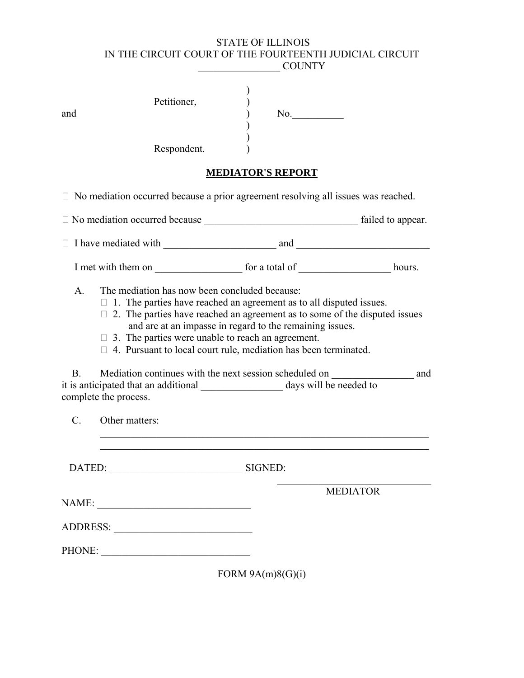### STATE OF ILLINOIS IN THE CIRCUIT COURT OF THE FOURTEENTH JUDICIAL CIRCUIT \_\_\_\_\_\_\_\_\_\_\_\_\_\_\_\_ COUNTY

| and | Petitioner, | No. |
|-----|-------------|-----|
|     | Respondent. |     |

# **MEDIATOR'S REPORT**

 $\Box$  No mediation occurred because a prior agreement resolving all issues was reached.

| A <sub>1</sub><br>B. | The mediation has now been concluded because:<br>$\Box$ 1. The parties have reached an agreement as to all disputed issues.<br>$\Box$ 2. The parties have reached an agreement as to some of the disputed issues<br>and are at an impasse in regard to the remaining issues.<br>$\Box$ 3. The parties were unable to reach an agreement.<br>$\Box$ 4. Pursuant to local court rule, mediation has been terminated.<br>Mediation continues with the next session scheduled on __________________________ and |           |                 |  |
|----------------------|-------------------------------------------------------------------------------------------------------------------------------------------------------------------------------------------------------------------------------------------------------------------------------------------------------------------------------------------------------------------------------------------------------------------------------------------------------------------------------------------------------------|-----------|-----------------|--|
|                      | complete the process.                                                                                                                                                                                                                                                                                                                                                                                                                                                                                       |           |                 |  |
| $C_{\cdot}$          | Other matters:<br><u> 1989 - Johann Stoff, amerikansk politiker (d. 1989)</u>                                                                                                                                                                                                                                                                                                                                                                                                                               |           |                 |  |
|                      | DATED: SIGNED:                                                                                                                                                                                                                                                                                                                                                                                                                                                                                              |           |                 |  |
|                      |                                                                                                                                                                                                                                                                                                                                                                                                                                                                                                             |           | <b>MEDIATOR</b> |  |
|                      |                                                                                                                                                                                                                                                                                                                                                                                                                                                                                                             |           |                 |  |
|                      |                                                                                                                                                                                                                                                                                                                                                                                                                                                                                                             |           |                 |  |
|                      | PHONE:                                                                                                                                                                                                                                                                                                                                                                                                                                                                                                      |           |                 |  |
|                      |                                                                                                                                                                                                                                                                                                                                                                                                                                                                                                             | $P_{ODM}$ |                 |  |

FORM  $9A(m)8(G)(i)$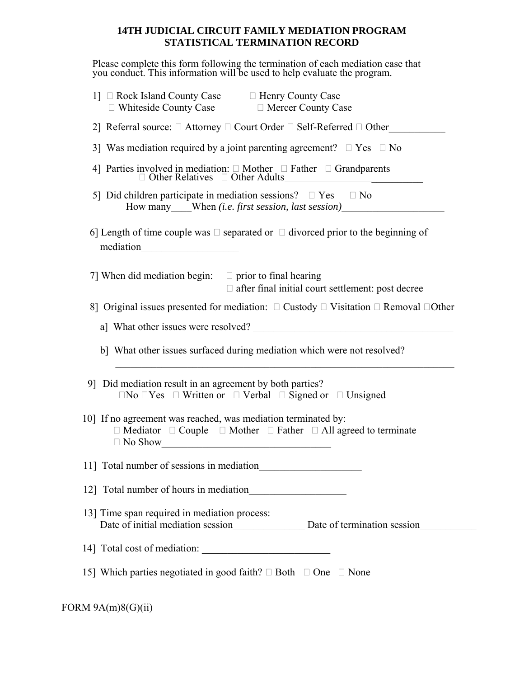### **14TH JUDICIAL CIRCUIT FAMILY MEDIATION PROGRAM STATISTICAL TERMINATION RECORD**

Please complete this form following the termination of each mediation case that you conduct. This information will be used to help evaluate the program.

| 1] □ Rock Island County Case □ Henry County Case<br>□ Whiteside County Case □ Mercer County Case                                                                            |
|-----------------------------------------------------------------------------------------------------------------------------------------------------------------------------|
| 2] Referral source: $\Box$ Attorney $\Box$ Court Order $\Box$ Self-Referred $\Box$ Other                                                                                    |
| 3] Was mediation required by a joint parenting agreement? $\Box$ Yes $\Box$ No                                                                                              |
| 4] Parties involved in mediation: $\square$ Mother $\square$ Father $\square$ Grandparents $\square$ Other Relatives $\square$ Other Adults                                 |
| 5] Did children participate in mediation sessions? $\square$ Yes $\square$ No<br>How many____When (i.e. first session, last session)______________________________          |
| 6] Length of time couple was $\Box$ separated or $\Box$ divorced prior to the beginning of                                                                                  |
| 7] When did mediation begin: $\Box$ prior to final hearing<br>$\Box$ after final initial court settlement: post decree                                                      |
| 8] Original issues presented for mediation: $\Box$ Custody $\Box$ Visitation $\Box$ Removal $\Box$ Other                                                                    |
| a] What other issues were resolved?                                                                                                                                         |
| b] What other issues surfaced during mediation which were not resolved?                                                                                                     |
| 9] Did mediation result in an agreement by both parties?<br>$\Box$ No $\Box$ Yes $\Box$ Written or $\Box$ Verbal $\Box$ Signed or $\Box$ Unsigned                           |
| 10] If no agreement was reached, was mediation terminated by:<br>$\Box$ Mediator $\Box$ Couple $\Box$ Mother $\Box$ Father $\Box$ All agreed to terminate<br>$\Box$ No Show |
| 11] Total number of sessions in mediation                                                                                                                                   |
|                                                                                                                                                                             |
| 13] Time span required in mediation process:                                                                                                                                |
|                                                                                                                                                                             |
| 15] Which parties negotiated in good faith? $\Box$ Both $\Box$ One $\Box$ None                                                                                              |
|                                                                                                                                                                             |

## FORM 9A(m)8(G)(ii)